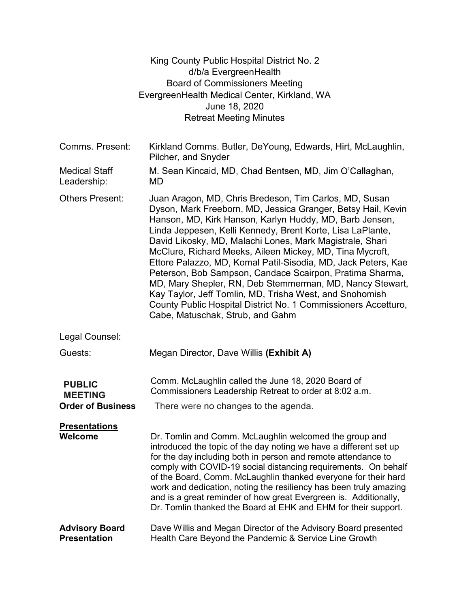|                                                             | King County Public Hospital District No. 2<br>d/b/a EvergreenHealth<br><b>Board of Commissioners Meeting</b><br>EvergreenHealth Medical Center, Kirkland, WA<br>June 18, 2020                                                                                                                                                                                                                                                                                                                                                                                                                                                                                                                                                     |  |
|-------------------------------------------------------------|-----------------------------------------------------------------------------------------------------------------------------------------------------------------------------------------------------------------------------------------------------------------------------------------------------------------------------------------------------------------------------------------------------------------------------------------------------------------------------------------------------------------------------------------------------------------------------------------------------------------------------------------------------------------------------------------------------------------------------------|--|
|                                                             | <b>Retreat Meeting Minutes</b>                                                                                                                                                                                                                                                                                                                                                                                                                                                                                                                                                                                                                                                                                                    |  |
| Comms. Present:                                             | Kirkland Comms. Butler, DeYoung, Edwards, Hirt, McLaughlin,<br>Pilcher, and Snyder                                                                                                                                                                                                                                                                                                                                                                                                                                                                                                                                                                                                                                                |  |
| <b>Medical Staff</b><br>Leadership:                         | M. Sean Kincaid, MD, Chad Bentsen, MD, Jim O'Callaghan,<br><b>MD</b>                                                                                                                                                                                                                                                                                                                                                                                                                                                                                                                                                                                                                                                              |  |
| <b>Others Present:</b>                                      | Juan Aragon, MD, Chris Bredeson, Tim Carlos, MD, Susan<br>Dyson, Mark Freeborn, MD, Jessica Granger, Betsy Hail, Kevin<br>Hanson, MD, Kirk Hanson, Karlyn Huddy, MD, Barb Jensen,<br>Linda Jeppesen, Kelli Kennedy, Brent Korte, Lisa LaPlante,<br>David Likosky, MD, Malachi Lones, Mark Magistrale, Shari<br>McClure, Richard Meeks, Aileen Mickey, MD, Tina Mycroft,<br>Ettore Palazzo, MD, Komal Patil-Sisodia, MD, Jack Peters, Kae<br>Peterson, Bob Sampson, Candace Scairpon, Pratima Sharma,<br>MD, Mary Shepler, RN, Deb Stemmerman, MD, Nancy Stewart,<br>Kay Taylor, Jeff Tomlin, MD, Trisha West, and Snohomish<br>County Public Hospital District No. 1 Commissioners Accetturo,<br>Cabe, Matuschak, Strub, and Gahm |  |
| Legal Counsel:                                              |                                                                                                                                                                                                                                                                                                                                                                                                                                                                                                                                                                                                                                                                                                                                   |  |
| Guests:                                                     | Megan Director, Dave Willis (Exhibit A)                                                                                                                                                                                                                                                                                                                                                                                                                                                                                                                                                                                                                                                                                           |  |
| <b>PUBLIC</b><br><b>MEETING</b><br><b>Order of Business</b> | Comm. McLaughlin called the June 18, 2020 Board of<br>Commissioners Leadership Retreat to order at 8:02 a.m.<br>There were no changes to the agenda.                                                                                                                                                                                                                                                                                                                                                                                                                                                                                                                                                                              |  |
| <b>Presentations</b><br>Welcome                             | Dr. Tomlin and Comm. McLaughlin welcomed the group and<br>introduced the topic of the day noting we have a different set up<br>for the day including both in person and remote attendance to<br>comply with COVID-19 social distancing requirements. On behalf<br>of the Board, Comm. McLaughlin thanked everyone for their hard<br>work and dedication, noting the resiliency has been truly amazing<br>and is a great reminder of how great Evergreen is. Additionally,<br>Dr. Tomlin thanked the Board at EHK and EHM for their support.                                                                                                                                                                                       |  |
| <b>Advisory Board</b><br><b>Presentation</b>                | Dave Willis and Megan Director of the Advisory Board presented<br>Health Care Beyond the Pandemic & Service Line Growth                                                                                                                                                                                                                                                                                                                                                                                                                                                                                                                                                                                                           |  |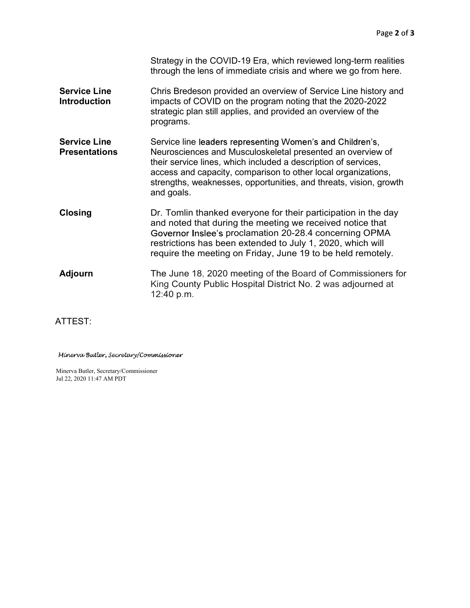|                                             | Strategy in the COVID-19 Era, which reviewed long-term realities<br>through the lens of immediate crisis and where we go from here.                                                                                                                                                                                                           |
|---------------------------------------------|-----------------------------------------------------------------------------------------------------------------------------------------------------------------------------------------------------------------------------------------------------------------------------------------------------------------------------------------------|
| <b>Service Line</b><br><b>Introduction</b>  | Chris Bredeson provided an overview of Service Line history and<br>impacts of COVID on the program noting that the 2020-2022<br>strategic plan still applies, and provided an overview of the<br>programs.                                                                                                                                    |
| <b>Service Line</b><br><b>Presentations</b> | Service line leaders representing Women's and Children's,<br>Neurosciences and Musculoskeletal presented an overview of<br>their service lines, which included a description of services,<br>access and capacity, comparison to other local organizations,<br>strengths, weaknesses, opportunities, and threats, vision, growth<br>and goals. |
| <b>Closing</b>                              | Dr. Tomlin thanked everyone for their participation in the day<br>and noted that during the meeting we received notice that<br>Governor Inslee's proclamation 20-28.4 concerning OPMA<br>restrictions has been extended to July 1, 2020, which will<br>require the meeting on Friday, June 19 to be held remotely.                            |
| <b>Adjourn</b>                              | The June 18, 2020 meeting of the Board of Commissioners for<br>King County Public Hospital District No. 2 was adjourned at<br>12:40 p.m.                                                                                                                                                                                                      |

ATTEST:

Minerva Butler, Secretary/Commissioner

Minerva Butler, Secretary/Commissioner Jul 22, 2020 11:47 AM PDT